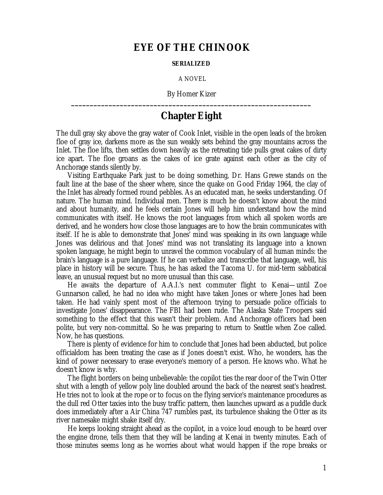## **EYE OF THE CHINOOK**

## **SERIALIZED**

A NOVEL

By Homer Kizer **\_\_\_\_\_\_\_\_\_\_\_\_\_\_\_\_\_\_\_\_\_\_\_\_\_\_\_\_\_\_\_\_\_\_\_\_\_\_\_\_\_\_\_\_\_\_\_\_\_\_\_\_\_\_\_\_\_\_\_\_\_\_\_\_**

## **Chapter Eight**

The dull gray sky above the gray water of Cook Inlet, visible in the open leads of the broken floe of gray ice, darkens more as the sun weakly sets behind the gray mountains across the Inlet. The floe lifts, then settles down heavily as the retreating tide pulls great cakes of dirty ice apart. The floe groans as the cakes of ice grate against each other as the city of Anchorage stands silently by.

Visiting Earthquake Park just to be doing something, Dr. Hans Grewe stands on the fault line at the base of the sheer where, since the quake on Good Friday 1964, the clay of the Inlet has already formed round pebbles. As an educated man, he seeks understanding. Of nature. The human mind. Individual men. There is much he doesn't know about the mind and about humanity, and he feels certain Jones will help him understand how the mind communicates with itself. He knows the root languages from which all spoken words are derived, and he wonders how close those languages are to how the brain communicates with itself. If he is able to demonstrate that Jones' mind was speaking in its own language while Jones was delirious and that Jones' mind was not translating its language into a known spoken language, he might begin to unravel the common vocabulary of all human minds: the brain's language is a pure language. If he can verbalize and transcribe that language, well, his place in history will be secure. Thus, he has asked the Tacoma U. for mid-term sabbatical leave, an unusual request but no more unusual than this case.

He awaits the departure of A.A.I.'s next commuter flight to Kenai—until Zoe Gunnarson called, he had no idea who might have taken Jones or where Jones had been taken. He had vainly spent most of the afternoon trying to persuade police officials to investigate Jones' disappearance. The FBI had been rude. The Alaska State Troopers said something to the effect that this wasn't their problem. And Anchorage officers had been polite, but very non-committal. So he was preparing to return to Seattle when Zoe called. Now, he has questions.

There is plenty of evidence for him to conclude that Jones had been abducted, but police officialdom has been treating the case as if Jones doesn't exist. Who, he wonders, has the kind of power necessary to erase everyone's memory of a person. He knows who. What he doesn't know is why.

The flight borders on being unbelievable: the copilot ties the rear door of the Twin Otter shut with a length of yellow poly line doubled around the back of the nearest seat's headrest. He tries not to look at the rope or to focus on the flying service's maintenance procedures as the dull red Otter taxies into the busy traffic pattern, then launches upward as a puddle duck does immediately after a Air China 747 rumbles past, its turbulence shaking the Otter as its river namesake might shake itself dry.

He keeps looking straight ahead as the copilot, in a voice loud enough to be heard over the engine drone, tells them that they will be landing at Kenai in twenty minutes. Each of those minutes seems long as he worries about what would happen if the rope breaks or